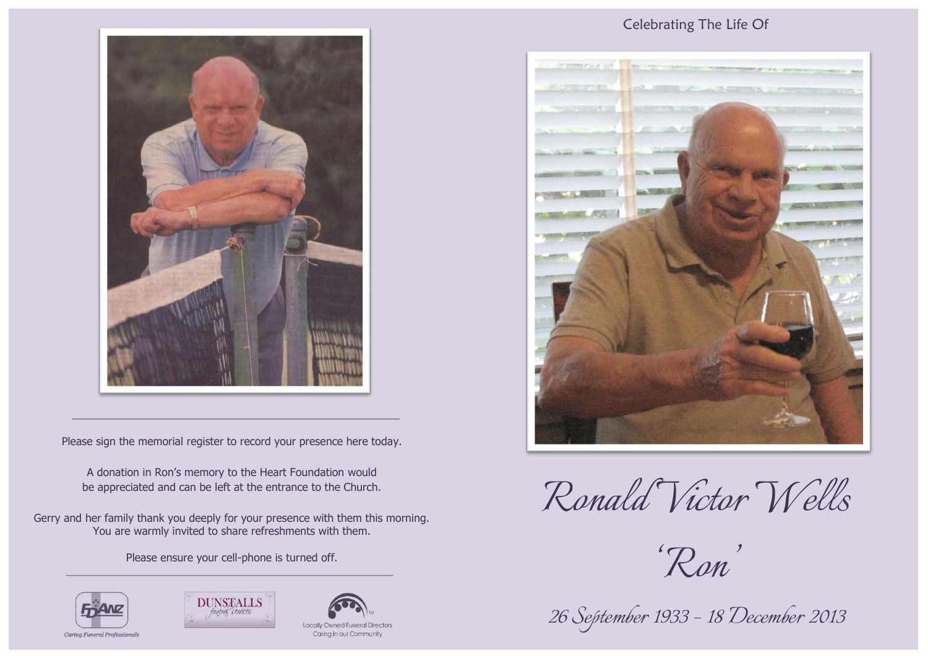

Please sign the memorial register to record your presence here today.

A donation in Ron's memory to the Heart Foundation would be appreciated and can be left at the entrance to the Church.

Gerry and her family thank you deeply for your presence with them this morning. You are warmly invited to share refreshments with them.

Please ensure your cell-phone is turned off.







### Celebrating The Life Of



*Ronald Victor Wells*

*'Ron'*

*26 September 1933 – 18 December 2013*

Caring Funeral Professionals